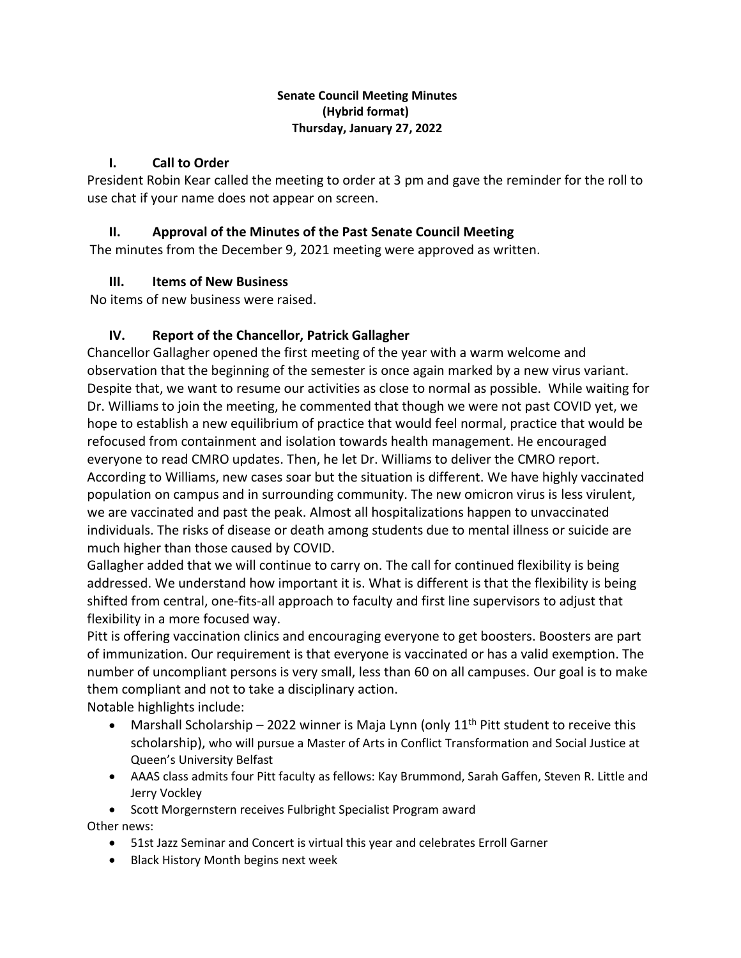### **Senate Council Meeting Minutes (Hybrid format) Thursday, January 27, 2022**

# **I. Call to Order**

President Robin Kear called the meeting to order at 3 pm and gave the reminder for the roll to use chat if your name does not appear on screen.

## **II. Approval of the Minutes of the Past Senate Council Meeting**

The minutes from the December 9, 2021 meeting were approved as written.

# **III. Items of New Business**

No items of new business were raised.

# **IV. Report of the Chancellor, Patrick Gallagher**

Chancellor Gallagher opened the first meeting of the year with a warm welcome and observation that the beginning of the semester is once again marked by a new virus variant. Despite that, we want to resume our activities as close to normal as possible. While waiting for Dr. Williams to join the meeting, he commented that though we were not past COVID yet, we hope to establish a new equilibrium of practice that would feel normal, practice that would be refocused from containment and isolation towards health management. He encouraged everyone to read CMRO updates. Then, he let Dr. Williams to deliver the CMRO report. According to Williams, new cases soar but the situation is different. We have highly vaccinated population on campus and in surrounding community. The new omicron virus is less virulent, we are vaccinated and past the peak. Almost all hospitalizations happen to unvaccinated individuals. The risks of disease or death among students due to mental illness or suicide are much higher than those caused by COVID.

Gallagher added that we will continue to carry on. The call for continued flexibility is being addressed. We understand how important it is. What is different is that the flexibility is being shifted from central, one-fits-all approach to faculty and first line supervisors to adjust that flexibility in a more focused way.

Pitt is offering vaccination clinics and encouraging everyone to get boosters. Boosters are part of immunization. Our requirement is that everyone is vaccinated or has a valid exemption. The number of uncompliant persons is very small, less than 60 on all campuses. Our goal is to make them compliant and not to take a disciplinary action.

Notable highlights include:

- Marshall Scholarship 2022 winner is Maja Lynn (only  $11<sup>th</sup>$  Pitt student to receive this scholarship), who will pursue a Master of Arts in Conflict Transformation and Social Justice at Queen's University Belfast
- AAAS class admits four Pitt faculty as fellows: Kay Brummond, Sarah Gaffen, Steven R. Little and Jerry Vockley

• Scott Morgernstern receives Fulbright Specialist Program award Other news:

- 51st Jazz Seminar and Concert is virtual this year and celebrates Erroll Garner
- Black History Month begins next week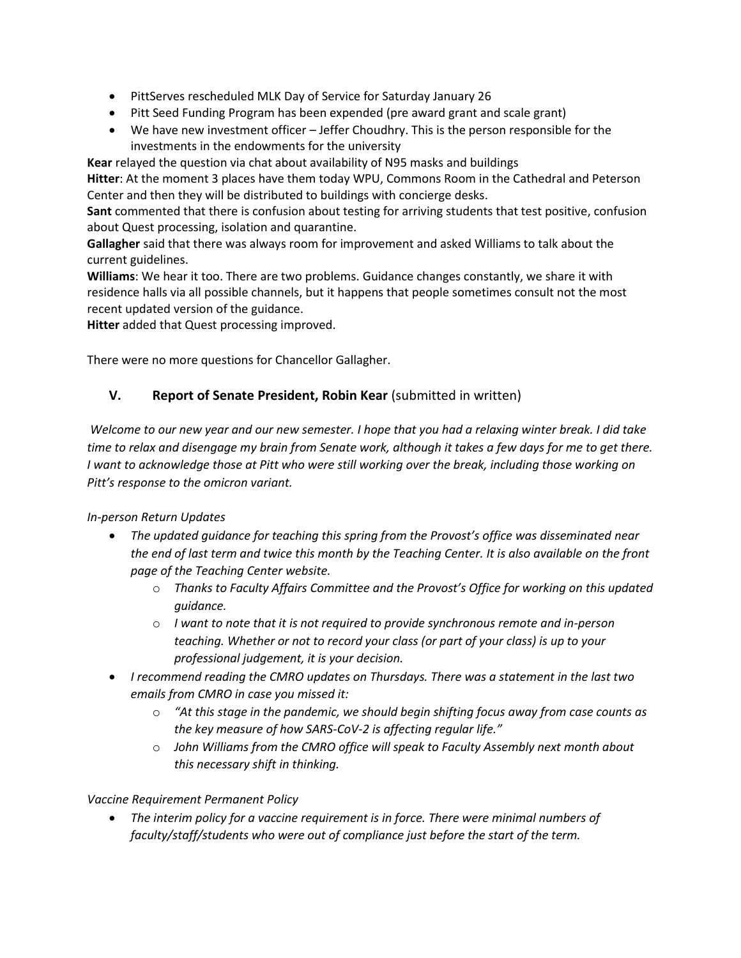- PittServes rescheduled MLK Day of Service for Saturday January 26
- Pitt Seed Funding Program has been expended (pre award grant and scale grant)
- We have new investment officer Jeffer Choudhry. This is the person responsible for the investments in the endowments for the university

**Kear** relayed the question via chat about availability of N95 masks and buildings

**Hitter**: At the moment 3 places have them today WPU, Commons Room in the Cathedral and Peterson Center and then they will be distributed to buildings with concierge desks.

**Sant** commented that there is confusion about testing for arriving students that test positive, confusion about Quest processing, isolation and quarantine.

**Gallagher** said that there was always room for improvement and asked Williams to talk about the current guidelines.

**Williams**: We hear it too. There are two problems. Guidance changes constantly, we share it with residence halls via all possible channels, but it happens that people sometimes consult not the most recent updated version of the guidance.

**Hitter** added that Quest processing improved.

There were no more questions for Chancellor Gallagher.

### **V. Report of Senate President, Robin Kear** (submitted in written)

*Welcome to our new year and our new semester. I hope that you had a relaxing winter break. I did take time to relax and disengage my brain from Senate work, although it takes a few days for me to get there. I* want to acknowledge those at Pitt who were still working over the break, including those working on *Pitt's response to the omicron variant.* 

### *In-person Return Updates*

- *The updated guidance for teaching this spring from the Provost's office was disseminated near the end of last term and twice this month by the Teaching Center. It is also available on the front page of the Teaching Center website.*
	- o *Thanks to Faculty Affairs Committee and the Provost's Office for working on this updated guidance.*
	- o *I want to note that it is not required to provide synchronous remote and in-person teaching. Whether or not to record your class (or part of your class) is up to your professional judgement, it is your decision.*
- *I recommend reading the CMRO updates on Thursdays. There was a statement in the last two emails from CMRO in case you missed it:* 
	- o *"At this stage in the pandemic, we should begin shifting focus away from case counts as the key measure of how SARS-CoV-2 is affecting regular life."*
	- o *John Williams from the CMRO office will speak to Faculty Assembly next month about this necessary shift in thinking.*

*Vaccine Requirement Permanent Policy*

• *The interim policy for a vaccine requirement is in force. There were minimal numbers of faculty/staff/students who were out of compliance just before the start of the term.*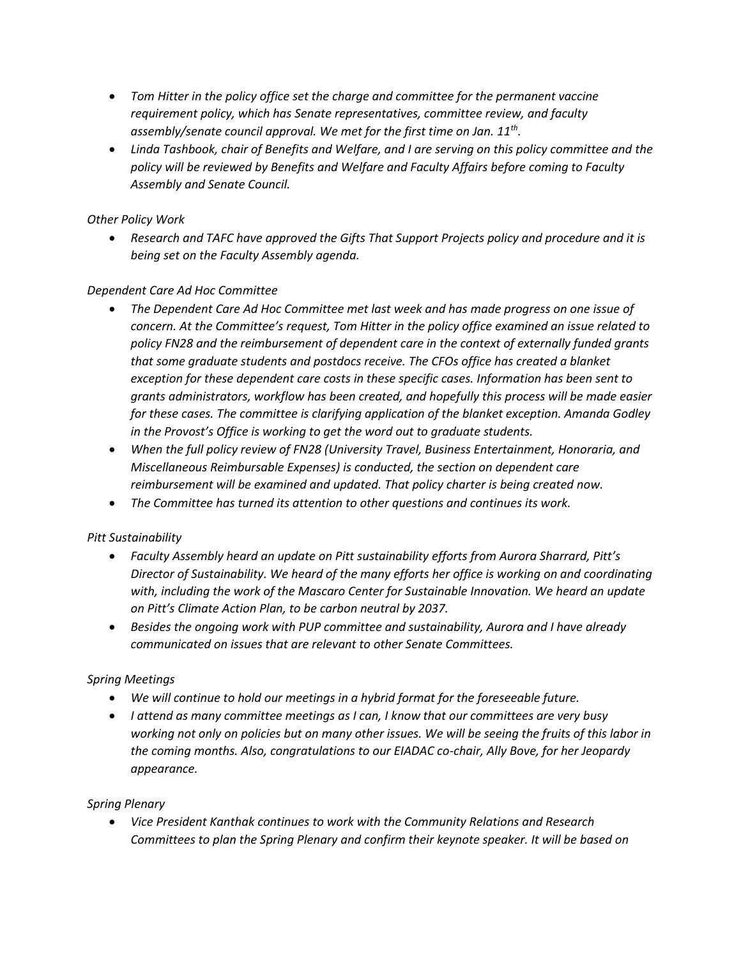- *Tom Hitter in the policy office set the charge and committee for the permanent vaccine requirement policy, which has Senate representatives, committee review, and faculty assembly/senate council approval. We met for the first time on Jan. 11th .*
- *Linda Tashbook, chair of Benefits and Welfare, and I are serving on this policy committee and the policy will be reviewed by Benefits and Welfare and Faculty Affairs before coming to Faculty Assembly and Senate Council.*

#### *Other Policy Work*

• *Research and TAFC have approved the Gifts That Support Projects policy and procedure and it is being set on the Faculty Assembly agenda.*

#### *Dependent Care Ad Hoc Committee*

- *The Dependent Care Ad Hoc Committee met last week and has made progress on one issue of concern. At the Committee's request, Tom Hitter in the policy office examined an issue related to policy FN28 and the reimbursement of dependent care in the context of externally funded grants that some graduate students and postdocs receive. The CFOs office has created a blanket exception for these dependent care costs in these specific cases. Information has been sent to grants administrators, workflow has been created, and hopefully this process will be made easier for these cases. The committee is clarifying application of the blanket exception. Amanda Godley in the Provost's Office is working to get the word out to graduate students.*
- *When the full policy review of FN28 (University Travel, Business Entertainment, Honoraria, and Miscellaneous Reimbursable Expenses) is conducted, the section on dependent care reimbursement will be examined and updated. That policy charter is being created now.*
- *The Committee has turned its attention to other questions and continues its work.*

### *Pitt Sustainability*

- *Faculty Assembly heard an update on Pitt sustainability efforts from Aurora Sharrard, Pitt's Director of Sustainability. We heard of the many efforts her office is working on and coordinating with, including the work of the Mascaro Center for Sustainable Innovation. We heard an update on Pitt's Climate Action Plan, to be carbon neutral by 2037.*
- *Besides the ongoing work with PUP committee and sustainability, Aurora and I have already communicated on issues that are relevant to other Senate Committees.*

#### *Spring Meetings*

- *We will continue to hold our meetings in a hybrid format for the foreseeable future.*
- *I attend as many committee meetings as I can, I know that our committees are very busy working not only on policies but on many other issues. We will be seeing the fruits of this labor in the coming months. Also, congratulations to our EIADAC co-chair, Ally Bove, for her Jeopardy appearance.*

### *Spring Plenary*

• *Vice President Kanthak continues to work with the Community Relations and Research Committees to plan the Spring Plenary and confirm their keynote speaker. It will be based on*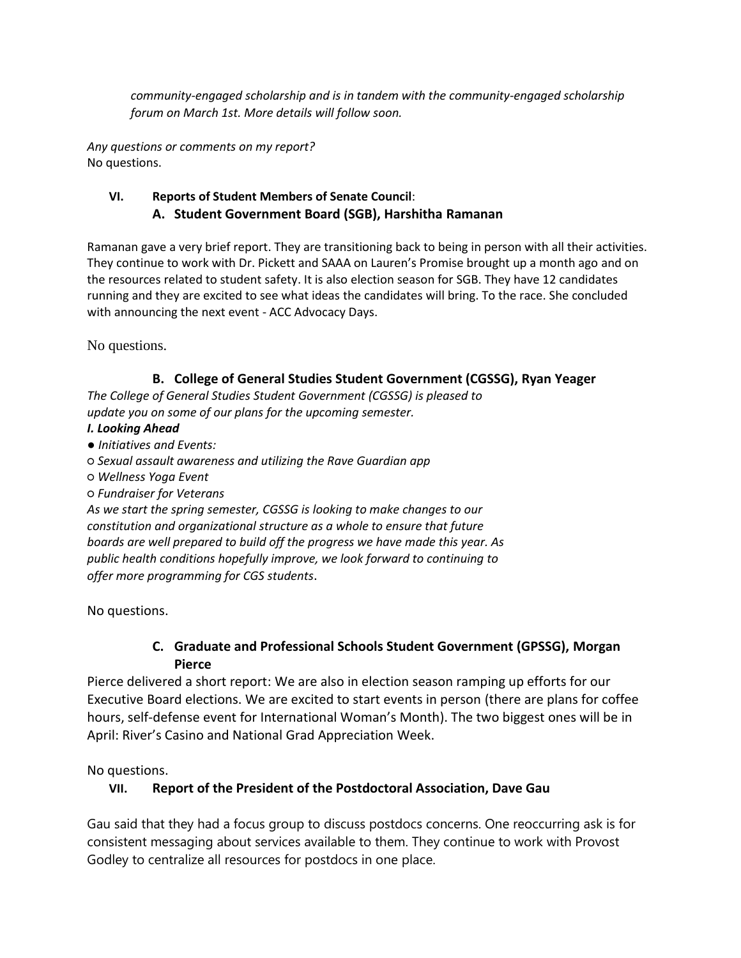*community-engaged scholarship and is in tandem with the community-engaged scholarship forum on March 1st. More details will follow soon.*

*Any questions or comments on my report?* No questions.

### **VI. Reports of Student Members of Senate Council**:  **A. Student Government Board (SGB), Harshitha Ramanan**

Ramanan gave a very brief report. They are transitioning back to being in person with all their activities. They continue to work with Dr. Pickett and SAAA on Lauren's Promise brought up a month ago and on the resources related to student safety. It is also election season for SGB. They have 12 candidates running and they are excited to see what ideas the candidates will bring. To the race. She concluded with announcing the next event - ACC Advocacy Days.

No questions.

### **B. College of General Studies Student Government (CGSSG), Ryan Yeager**

*The College of General Studies Student Government (CGSSG) is pleased to update you on some of our plans for the upcoming semester.*

### *I. Looking Ahead*

- *Initiatives and Events:*
- *Sexual assault awareness and utilizing the Rave Guardian app*
- *Wellness Yoga Event*
- *Fundraiser for Veterans*

*As we start the spring semester, CGSSG is looking to make changes to our constitution and organizational structure as a whole to ensure that future boards are well prepared to build off the progress we have made this year. As public health conditions hopefully improve, we look forward to continuing to offer more programming for CGS students*.

No questions.

## **C. Graduate and Professional Schools Student Government (GPSSG), Morgan Pierce**

Pierce delivered a short report: We are also in election season ramping up efforts for our Executive Board elections. We are excited to start events in person (there are plans for coffee hours, self-defense event for International Woman's Month). The two biggest ones will be in April: River's Casino and National Grad Appreciation Week.

No questions.

# **VII. Report of the President of the Postdoctoral Association, Dave Gau**

Gau said that they had a focus group to discuss postdocs concerns. One reoccurring ask is for consistent messaging about services available to them. They continue to work with Provost Godley to centralize all resources for postdocs in one place.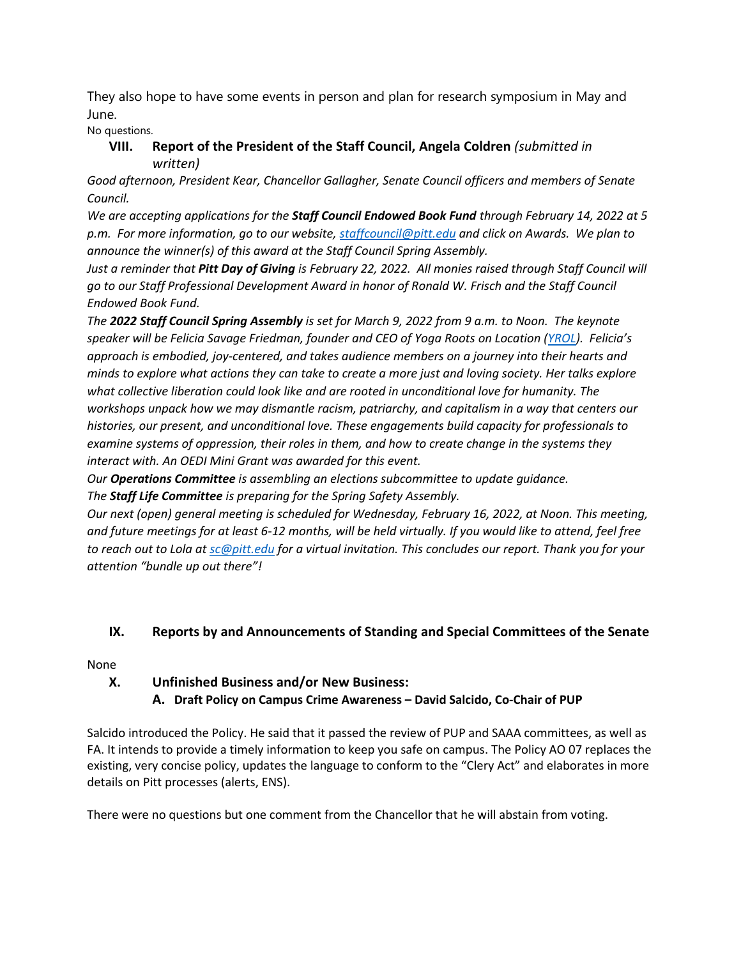They also hope to have some events in person and plan for research symposium in May and June.

No questions.

## **VIII. Report of the President of the Staff Council, Angela Coldren** *(submitted in written)*

*Good afternoon, President Kear, Chancellor Gallagher, Senate Council officers and members of Senate Council.* 

*We are accepting applications for the Staff Council Endowed Book Fund through February 14, 2022 at 5 p.m. For more information, go to our website[, staffcouncil@pitt.edu](mailto:staffcouncil@pitt.edu) and click on Awards. We plan to announce the winner(s) of this award at the Staff Council Spring Assembly.* 

*Just a reminder that Pitt Day of Giving is February 22, 2022. All monies raised through Staff Council will go to our Staff Professional Development Award in honor of Ronald W. Frisch and the Staff Council Endowed Book Fund.*

*The 2022 Staff Council Spring Assembly is set for March 9, 2022 from 9 a.m. to Noon. The keynote speaker will be Felicia Savage Friedman, founder and CEO of Yoga Roots on Location [\(YROL\)](https://mailingservices-readgreen.cmail20.com/t/j-l-ztudhit-drjrhhhuo-j/). Felicia's approach is embodied, joy-centered, and takes audience members on a journey into their hearts and minds to explore what actions they can take to create a more just and loving society. Her talks explore what collective liberation could look like and are rooted in unconditional love for humanity. The workshops unpack how we may dismantle racism, patriarchy, and capitalism in a way that centers our histories, our present, and unconditional love. These engagements build capacity for professionals to examine systems of oppression, their roles in them, and how to create change in the systems they interact with. An OEDI Mini Grant was awarded for this event.* 

*Our Operations Committee is assembling an elections subcommittee to update guidance.*

*The Staff Life Committee is preparing for the Spring Safety Assembly.* 

*Our next (open) general meeting is scheduled for Wednesday, February 16, 2022, at Noon. This meeting, and future meetings for at least 6-12 months, will be held virtually. If you would like to attend, feel free to reach out to Lola at [sc@pitt.edu](mailto:sc@pitt.edu) for a virtual invitation. This concludes our report. Thank you for your attention "bundle up out there"!*

# **IX. Reports by and Announcements of Standing and Special Committees of the Senate**

### None

## **X. Unfinished Business and/or New Business:**

**A. Draft Policy on Campus Crime Awareness – David Salcido, Co-Chair of PUP**

Salcido introduced the Policy. He said that it passed the review of PUP and SAAA committees, as well as FA. It intends to provide a timely information to keep you safe on campus. The Policy AO 07 replaces the existing, very concise policy, updates the language to conform to the "Clery Act" and elaborates in more details on Pitt processes (alerts, ENS).

There were no questions but one comment from the Chancellor that he will abstain from voting.